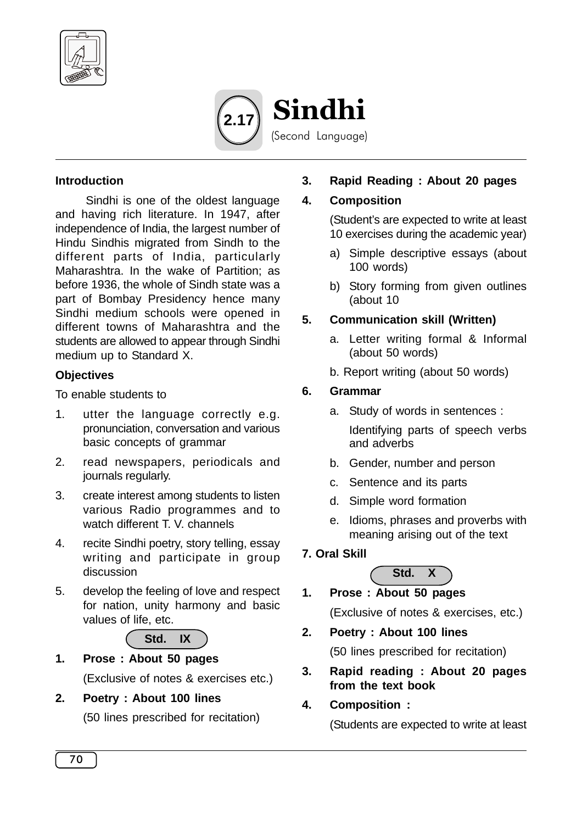



### **Introduction**

Sindhi is one of the oldest language and having rich literature. In 1947, after independence of India, the largest number of Hindu Sindhis migrated from Sindh to the different parts of India, particularly Maharashtra. In the wake of Partition; as before 1936, the whole of Sindh state was a part of Bombay Presidency hence many Sindhi medium schools were opened in different towns of Maharashtra and the students are allowed to appear through Sindhi medium up to Standard X.

## **Objectives**

To enable students to

- 1. utter the language correctly e.g. pronunciation, conversation and various basic concepts of grammar
- 2. read newspapers, periodicals and journals regularly.
- 3. create interest among students to listen various Radio programmes and to watch different T. V. channels
- 4. recite Sindhi poetry, story telling, essay writing and participate in group discussion
- 5. develop the feeling of love and respect for nation, unity harmony and basic values of life, etc.



- **1. Prose : About 50 pages** (Exclusive of notes & exercises etc.)
- **2. Poetry : About 100 lines**

(50 lines prescribed for recitation)

**3. Rapid Reading : About 20 pages**

## **4. Composition**

(Student's are expected to write at least 10 exercises during the academic year)

- a) Simple descriptive essays (about 100 words)
- b) Story forming from given outlines (about 10

## **5. Communication skill (Written)**

- a. Letter writing formal & Informal (about 50 words)
- b. Report writing (about 50 words)

# **6. Grammar**

a. Study of words in sentences :

Identifying parts of speech verbs and adverbs

- b. Gender, number and person
- c. Sentence and its parts
- d. Simple word formation
- e. Idioms, phrases and proverbs with meaning arising out of the text

# **7. Oral Skill**



- **1. Prose : About 50 pages** (Exclusive of notes & exercises, etc.)
- **2. Poetry : About 100 lines**

(50 lines prescribed for recitation)

- **3. Rapid reading : About 20 pages from the text book**
- **4. Composition :**

(Students are expected to write at least